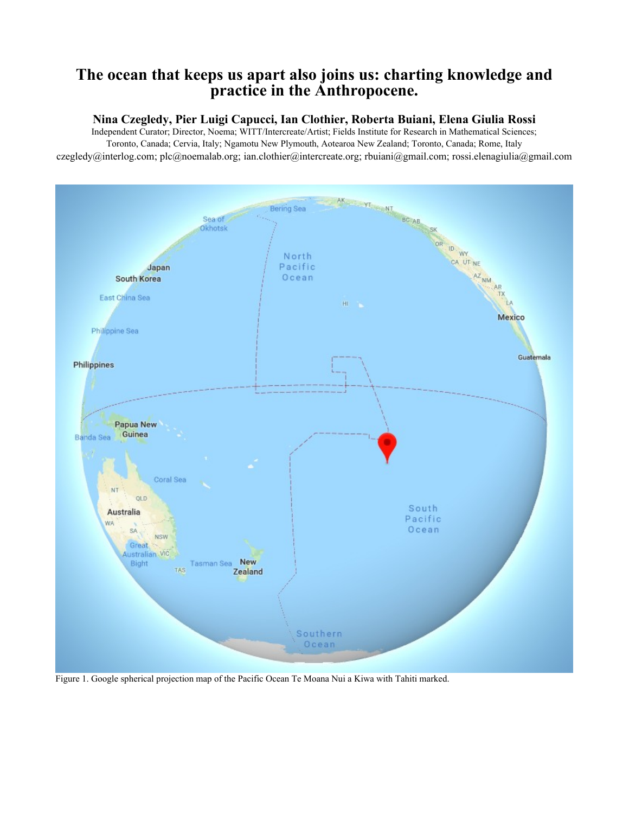# **The ocean that keeps us apart also joins us: charting knowledge and practice in the Anthropocene.**

## **Nina Czegledy, Pier Luigi Capucci, Ian Clothier, Roberta Buiani, Elena Giulia Rossi**

Independent Curator; Director, Noema; WITT/Intercreate/Artist; Fields Institute for Research in Mathematical Sciences; Toronto, Canada; Cervia, Italy; Ngamotu New Plymouth, Aotearoa New Zealand; Toronto, Canada; Rome, Italy czegledy@interlog.com; plc@noemalab.org; ian.clothier@intercreate.org; rbuiani@gmail.com; rossi.elenagiulia@gmail.com



Figure 1. Google spherical projection map of the Pacific Ocean Te Moana Nui a Kiwa with Tahiti marked.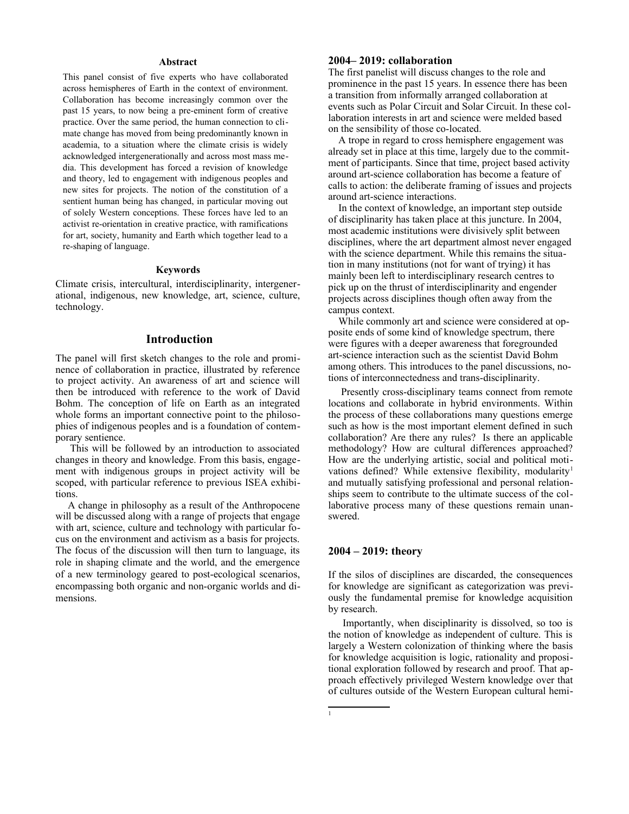#### **Abstract**

This panel consist of five experts who have collaborated across hemispheres of Earth in the context of environment. Collaboration has become increasingly common over the past 15 years, to now being a pre-eminent form of creative practice. Over the same period, the human connection to climate change has moved from being predominantly known in academia, to a situation where the climate crisis is widely acknowledged intergenerationally and across most mass media. This development has forced a revision of knowledge and theory, led to engagement with indigenous peoples and new sites for projects. The notion of the constitution of a sentient human being has changed, in particular moving out of solely Western conceptions. These forces have led to an activist re-orientation in creative practice, with ramifications for art, society, humanity and Earth which together lead to a re-shaping of language.

#### **Keywords**

Climate crisis, intercultural, interdisciplinarity, intergenerational, indigenous, new knowledge, art, science, culture, technology.

## **Introduction**

The panel will first sketch changes to the role and prominence of collaboration in practice, illustrated by reference to project activity. An awareness of art and science will then be introduced with reference to the work of David Bohm. The conception of life on Earth as an integrated whole forms an important connective point to the philosophies of indigenous peoples and is a foundation of contemporary sentience.

 This will be followed by an introduction to associated changes in theory and knowledge. From this basis, engagement with indigenous groups in project activity will be scoped, with particular reference to previous ISEA exhibitions.

 A change in philosophy as a result of the Anthropocene will be discussed along with a range of projects that engage with art, science, culture and technology with particular focus on the environment and activism as a basis for projects. The focus of the discussion will then turn to language, its role in shaping climate and the world, and the emergence of a new terminology geared to post-ecological scenarios, encompassing both organic and non-organic worlds and dimensions.

## **2004– 2019: collaboration**

The first panelist will discuss changes to the role and prominence in the past 15 years. In essence there has been a transition from informally arranged collaboration at events such as Polar Circuit and Solar Circuit. In these collaboration interests in art and science were melded based on the sensibility of those co-located.

 A trope in regard to cross hemisphere engagement was already set in place at this time, largely due to the commitment of participants. Since that time, project based activity around art-science collaboration has become a feature of calls to action: the deliberate framing of issues and projects around art-science interactions.

 In the context of knowledge, an important step outside of disciplinarity has taken place at this juncture. In 2004, most academic institutions were divisively split between disciplines, where the art department almost never engaged with the science department. While this remains the situation in many institutions (not for want of trying) it has mainly been left to interdisciplinary research centres to pick up on the thrust of interdisciplinarity and engender projects across disciplines though often away from the campus context.

 While commonly art and science were considered at opposite ends of some kind of knowledge spectrum, there were figures with a deeper awareness that foregrounded art-science interaction such as the scientist David Bohm among others. This introduces to the panel discussions, notions of interconnectedness and trans-disciplinarity.

 Presently cross-disciplinary teams connect from remote locations and collaborate in hybrid environments. Within the process of these collaborations many questions emerge such as how is the most important element defined in such collaboration? Are there any rules? Is there an applicable methodology? How are cultural differences approached? How are the underlying artistic, social and political moti-vations defined? While extensive flexibility, modularity<sup>[1](#page-1-0)</sup> and mutually satisfying professional and personal relationships seem to contribute to the ultimate success of the collaborative process many of these questions remain unanswered.

#### **2004 – 2019: theory**

<span id="page-1-0"></span>1

If the silos of disciplines are discarded, the consequences for knowledge are significant as categorization was previously the fundamental premise for knowledge acquisition by research.

 Importantly, when disciplinarity is dissolved, so too is the notion of knowledge as independent of culture. This is largely a Western colonization of thinking where the basis for knowledge acquisition is logic, rationality and propositional exploration followed by research and proof. That approach effectively privileged Western knowledge over that of cultures outside of the Western European cultural hemi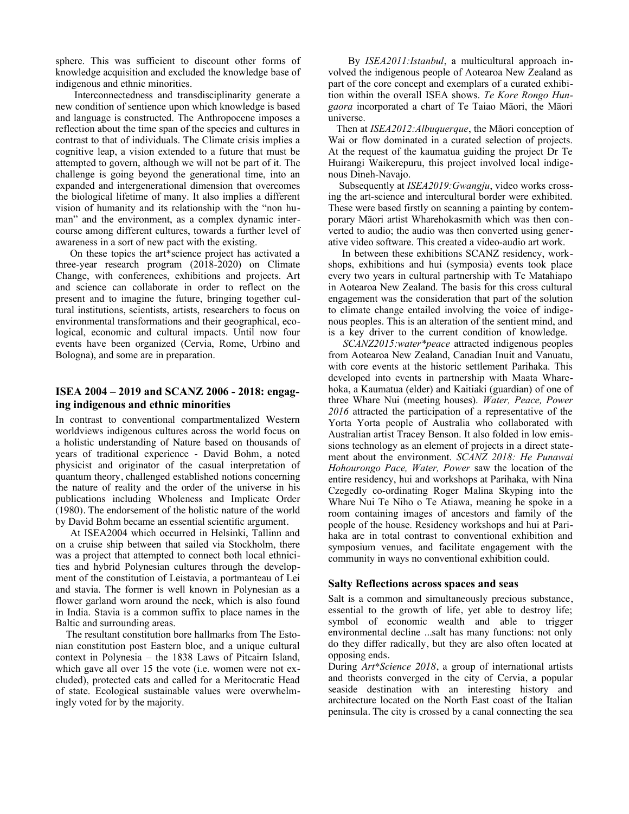sphere. This was sufficient to discount other forms of knowledge acquisition and excluded the knowledge base of indigenous and ethnic minorities.

 Interconnectedness and transdisciplinarity generate a new condition of sentience upon which knowledge is based and language is constructed. The Anthropocene imposes a reflection about the time span of the species and cultures in contrast to that of individuals. The Climate crisis implies a cognitive leap, a vision extended to a future that must be attempted to govern, although we will not be part of it. The challenge is going beyond the generational time, into an expanded and intergenerational dimension that overcomes the biological lifetime of many. It also implies a different vision of humanity and its relationship with the "non human" and the environment, as a complex dynamic intercourse among different cultures, towards a further level of awareness in a sort of new pact with the existing.

 On these topics the art\*science project has activated a three-year research program (2018-2020) on Climate Change, with conferences, exhibitions and projects. Art and science can collaborate in order to reflect on the present and to imagine the future, bringing together cultural institutions, scientists, artists, researchers to focus on environmental transformations and their geographical, ecological, economic and cultural impacts. Until now four events have been organized (Cervia, Rome, Urbino and Bologna), and some are in preparation.

## **ISEA 2004 – 2019 and SCANZ 2006 - 2018: engaging indigenous and ethnic minorities**

In contrast to conventional compartmentalized Western worldviews indigenous cultures across the world focus on a holistic understanding of Nature based on thousands of years of traditional experience - David Bohm, a noted physicist and originator of the casual interpretation of quantum theory, challenged established notions concerning the nature of reality and the order of the universe in his publications including Wholeness and Implicate Order (1980). The endorsement of the holistic nature of the world by David Bohm became an essential scientific argument.

 At ISEA2004 which occurred in Helsinki, Tallinn and on a cruise ship between that sailed via Stockholm, there was a project that attempted to connect both local ethnicities and hybrid Polynesian cultures through the development of the constitution of Leistavia, a portmanteau of Lei and stavia. The former is well known in Polynesian as a flower garland worn around the neck, which is also found in India. Stavia is a common suffix to place names in the Baltic and surrounding areas.

 The resultant constitution bore hallmarks from The Estonian constitution post Eastern bloc, and a unique cultural context in Polynesia – the 1838 Laws of Pitcairn Island, which gave all over 15 the vote (i.e. women were not excluded), protected cats and called for a Meritocratic Head of state. Ecological sustainable values were overwhelmingly voted for by the majority.

 By *ISEA2011:Istanbul*, a multicultural approach involved the indigenous people of Aotearoa New Zealand as part of the core concept and exemplars of a curated exhibition within the overall ISEA shows. *Te Kore Rongo Hungaora* incorporated a chart of Te Taiao Māori, the Māori universe.

 Then at *ISEA2012:Albuquerque*, the Māori conception of Wai or flow dominated in a curated selection of projects. At the request of the kaumatua guiding the project Dr Te Huirangi Waikerepuru, this project involved local indigenous Dineh-Navajo.

 Subsequently at *ISEA2019:Gwangju*, video works crossing the art-science and intercultural border were exhibited. These were based firstly on scanning a painting by contemporary Māori artist Wharehokasmith which was then converted to audio; the audio was then converted using generative video software. This created a video-audio art work.

 In between these exhibitions SCANZ residency, workshops, exhibitions and hui (symposia) events took place every two years in cultural partnership with Te Matahiapo in Aotearoa New Zealand. The basis for this cross cultural engagement was the consideration that part of the solution to climate change entailed involving the voice of indigenous peoples. This is an alteration of the sentient mind, and is a key driver to the current condition of knowledge.

 *SCANZ2015:water\*peace* attracted indigenous peoples from Aotearoa New Zealand, Canadian Inuit and Vanuatu, with core events at the historic settlement Parihaka. This developed into events in partnership with Maata Wharehoka, a Kaumatua (elder) and Kaitiaki (guardian) of one of three Whare Nui (meeting houses). *Water, Peace, Power 2016* attracted the participation of a representative of the Yorta Yorta people of Australia who collaborated with Australian artist Tracey Benson. It also folded in low emissions technology as an element of projects in a direct statement about the environment. *SCANZ 2018: He Punawai Hohourongo Pace, Water, Power* saw the location of the entire residency, hui and workshops at Parihaka, with Nina Czegedly co-ordinating Roger Malina Skyping into the Whare Nui Te Niho o Te Atiawa, meaning he spoke in a room containing images of ancestors and family of the people of the house. Residency workshops and hui at Parihaka are in total contrast to conventional exhibition and symposium venues, and facilitate engagement with the community in ways no conventional exhibition could.

### **Salty Reflections across spaces and seas**

Salt is a common and simultaneously precious substance, essential to the growth of life, yet able to destroy life; symbol of economic wealth and able to trigger environmental decline ...salt has many functions: not only do they differ radically, but they are also often located at opposing ends.

During *Art\*Science 2018*, a group of international artists and theorists converged in the city of Cervia, a popular seaside destination with an interesting history and architecture located on the North East coast of the Italian peninsula. The city is crossed by a canal connecting the sea